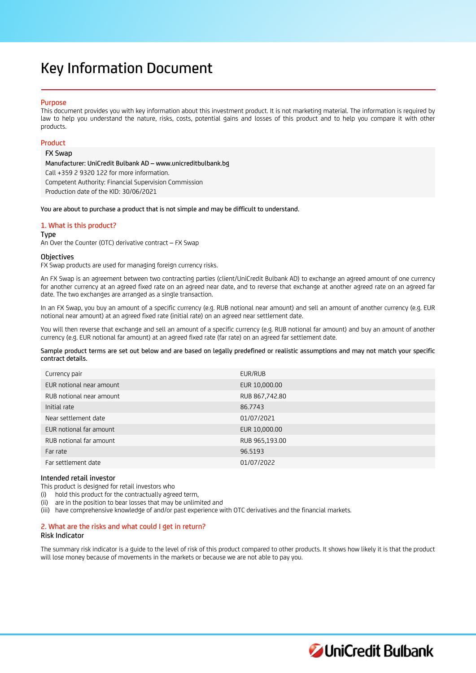# Key Information Document

# Purpose

This document provides you with key information about this investment product. It is not marketing material. The information is required by law to help you understand the nature, risks, costs, potential gains and losses of this product and to help you compare it with other products.

# Product

FX Swap

Manufacturer: UniCredit Bulbank AD – www.unicreditbulbank.bg Call +359 2 9320 122 for more information. Competent Authority: Financial Supervision Commission Production date of the KID: 30/06/2021

You are about to purchase a product that is not simple and may be difficult to understand.

# 1. What is this product?

Type

An Over the Counter (OTC) derivative contract – FX Swap

# **Objectives**

FX Swap products are used for managing foreign currency risks.

An FX Swap is an agreement between two contracting parties (client/UniCredit Bulbank AD) to exchange an agreed amount of one currency for another currency at an agreed fixed rate on an agreed near date, and to reverse that exchange at another agreed rate on an agreed far date. The two exchanges are arranged as a single transaction.

In an FX Swap, you buy an amount of a specific currency (e.g. RUB notional near amount) and sell an amount of another currency (e.g. EUR notional near amount) at an agreed fixed rate (initial rate) on an agreed near settlement date.

You will then reverse that exchange and sell an amount of a specific currency (e.g. RUB notional far amount) and buy an amount of another currency (e.g. EUR notional far amount) at an agreed fixed rate (far rate) on an agreed far settlement date.

Sample product terms are set out below and are based on legally predefined or realistic assumptions and may not match your specific contract details.

| Currency pair            | EUR/RUB        |
|--------------------------|----------------|
| EUR notional near amount | EUR 10,000.00  |
| RUB notional near amount | RUB 867,742.80 |
| Initial rate             | 86.7743        |
| Near settlement date     | 01/07/2021     |
| EUR notional far amount  | EUR 10,000.00  |
| RUB notional far amount  | RUB 965,193.00 |
| Far rate                 | 96.5193        |
| Far settlement date      | 01/07/2022     |
|                          |                |

# Intended retail investor

This product is designed for retail investors who

(i) hold this product for the contractually agreed term,

(ii) are in the position to bear losses that may be unlimited and

(iii) have comprehensive knowledge of and/or past experience with OTC derivatives and the financial markets.

# 2. What are the risks and what could I get in return?

## Risk Indicator

The summary risk indicator is a guide to the level of risk of this product compared to other products. It shows how likely it is that the product will lose money because of movements in the markets or because we are not able to pay you.

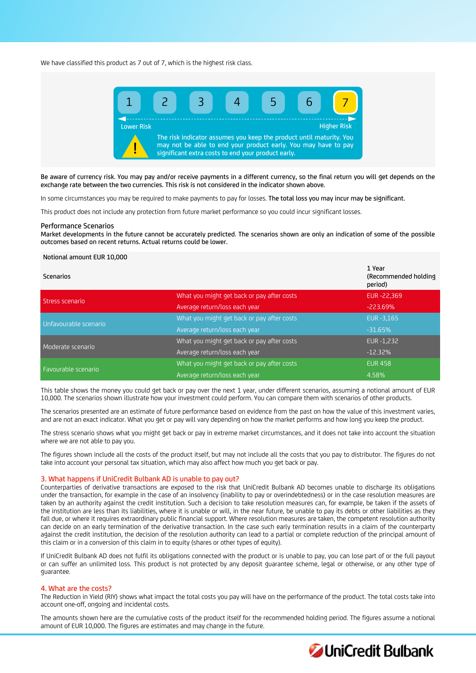We have classified this product as 7 out of 7, which is the highest risk class.



Be aware of currency risk. You may pay and/or receive payments in a different currency, so the final return you will get depends on the exchange rate between the two currencies. This risk is not considered in the indicator shown above.

In some circumstances you may be required to make payments to pay for losses. The total loss you may incur may be significant.

This product does not include any protection from future market performance so you could incur significant losses.

#### Performance Scenarios

Market developments in the future cannot be accurately predicted. The scenarios shown are only an indication of some of the possible outcomes based on recent returns. Actual returns could be lower.

# Notional amount EUR 10,000

| Scenarios             |                                            | 1 Year<br>(Recommended holding)<br>period) |
|-----------------------|--------------------------------------------|--------------------------------------------|
| Stress scenario       | What you might get back or pay after costs | EUR-22,369                                 |
|                       | Average return/loss each year              | $-223.69%$                                 |
| Unfavourable scenario | What you might get back or pay after costs | EUR - 3,165                                |
|                       | Average return/loss each year              | $-31.65%$                                  |
| Moderate scenario     | What you might get back or pay after costs | EUR -1,232                                 |
|                       | Average return/loss each year              | $-12.32%$                                  |
| Favourable scenario   | What you might get back or pay after costs | <b>EUR 458</b>                             |
|                       | Average return/loss each year              | 4.58%                                      |

This table shows the money you could get back or pay over the next 1 year, under different scenarios, assuming a notional amount of EUR 10,000. The scenarios shown illustrate how your investment could perform. You can compare them with scenarios of other products.

The scenarios presented are an estimate of future performance based on evidence from the past on how the value of this investment varies, and are not an exact indicator. What you get or pay will vary depending on how the market performs and how long you keep the product.

The stress scenario shows what you might get back or pay in extreme market circumstances, and it does not take into account the situation where we are not able to pay you.

The figures shown include all the costs of the product itself, but may not include all the costs that you pay to distributor. The figures do not take into account your personal tax situation, which may also affect how much you get back or pay.

# 3. What happens if UniCredit Bulbank AD is unable to pay out?

Counterparties of derivative transactions are exposed to the risk that UniCredit Bulbank AD becomes unable to discharge its obligations under the transaction, for example in the case of an insolvency (inability to pay or overindebtedness) or in the case resolution measures are taken by an authority against the credit institution. Such a decision to take resolution measures can, for example, be taken if the assets of the institution are less than its liabilities, where it is unable or will, in the near future, be unable to pay its debts or other liabilities as they fall due, or where it requires extraordinary public financial support. Where resolution measures are taken, the competent resolution authority can decide on an early termination of the derivative transaction. In the case such early termination results in a claim of the counterparty against the credit institution, the decision of the resolution authority can lead to a partial or complete reduction of the principal amount of this claim or in a conversion of this claim in to equity (shares or other types of equity).

If UniCredit Bulbank AD does not fulfil its obligations connected with the product or is unable to pay, you can lose part of or the full payout or can suffer an unlimited loss. This product is not protected by any deposit guarantee scheme, legal or otherwise, or any other type of guarantee.

## 4. What are the costs?

The Reduction in Yield (RIY) shows what impact the total costs you pay will have on the performance of the product. The total costs take into account one-off, ongoing and incidental costs.

The amounts shown here are the cumulative costs of the product itself for the recommended holding period. The figures assume a notional amount of EUR 10,000. The figures are estimates and may change in the future.